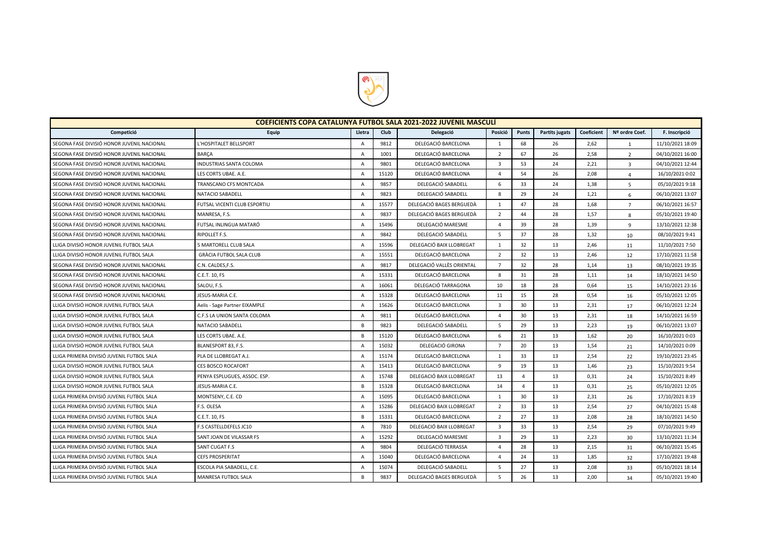

| COEFICIENTS COPA CATALUNYA FUTBOL SALA 2021-2022 JUVENIL MASCULI |                                |                |       |                           |                |                |                |            |                |                  |
|------------------------------------------------------------------|--------------------------------|----------------|-------|---------------------------|----------------|----------------|----------------|------------|----------------|------------------|
| Competició                                                       | Equip                          | Lletra         | Club  | Delegació                 | Posició        | Punts          | Partits jugats | Coeficient | Nº ordre Coef. | F. Inscripció    |
| SEGONA FASE DIVISIÓ HONOR JUVENIL NACIONAL                       | L'HOSPITALET BELLSPORT         | $\overline{A}$ | 9812  | DELEGACIÓ BARCELONA       | 1              | 68             | 26             | 2,62       | $\mathbf{1}$   | 11/10/2021 18:09 |
| SEGONA FASE DIVISIÓ HONOR JUVENIL NACIONAL                       | <b>BARCA</b>                   | $\overline{A}$ | 1001  | DELEGACIÓ BARCELONA       | $\overline{2}$ | 67             | 26             | 2,58       | $\overline{2}$ | 04/10/2021 16:00 |
| SEGONA FASE DIVISIÓ HONOR JUVENIL NACIONAL                       | <b>INDUSTRIAS SANTA COLOMA</b> | $\overline{A}$ | 9801  | DELEGACIÓ BARCELONA       | $\overline{3}$ | 53             | 24             | 2,21       | $\overline{3}$ | 04/10/2021 12:44 |
| SEGONA FASE DIVISIÓ HONOR JUVENIL NACIONAL                       | LES CORTS UBAE. A.E.           | $\overline{A}$ | 15120 | DELEGACIÓ BARCELONA       | $\overline{4}$ | 54             | 26             | 2,08       | $\overline{4}$ | 16/10/2021 0:02  |
| SEGONA FASE DIVISIÓ HONOR JUVENIL NACIONAL                       | TRANSCANO CFS MONTCADA         | $\Delta$       | 9857  | DELEGACIÓ SABADELL        | 6              | 33             | 24             | 1,38       | 5              | 05/10/2021 9:18  |
| SEGONA FASE DIVISIÓ HONOR JUVENIL NACIONAL                       | NATACIO SABADELL               | $\overline{A}$ | 9823  | DELEGACIÓ SABADELL        | 8              | 29             | 24             | 1,21       | 6              | 06/10/2021 13:07 |
| SEGONA FASE DIVISIÓ HONOR JUVENIL NACIONAL                       | FUTSAL VICENTI CLUB ESPORTIU   | $\overline{A}$ | 15577 | DELEGACIÓ BAGES BERGUEDÀ  | 1              | 47             | 28             | 1,68       | $\overline{7}$ | 06/10/2021 16:57 |
| SEGONA FASE DIVISIÓ HONOR JUVENIL NACIONAL                       | MANRESA, F.S.                  | $\overline{A}$ | 9837  | DELEGACIÓ BAGES BERGUEDÀ  | $\overline{2}$ | 44             | 28             | 1,57       | 8              | 05/10/2021 19:40 |
| SEGONA FASE DIVISIÓ HONOR JUVENIL NACIONAL                       | FUTSAL INLINGUA MATARÓ         | A              | 15496 | DELEGACIÓ MARESME         | $\Delta$       | 39             | 28             | 1,39       | $\mathbf{q}$   | 13/10/2021 12:38 |
| SEGONA FASE DIVISIÓ HONOR JUVENIL NACIONAL                       | RIPOLLET F.S.                  | $\overline{A}$ | 9842  | DELEGACIÓ SABADELL        | 5              | 37             | 28             | 1,32       | 10             | 08/10/2021 9:41  |
| LLIGA DIVISIÓ HONOR JUVENIL FUTBOL SALA                          | 5 MARTORELL CLUB SALA          | A              | 15596 | DELEGACIÓ BAIX LLOBREGAT  | $\mathbf{1}$   | 32             | 13             | 2,46       | 11             | 11/10/2021 7:50  |
| LLIGA DIVISIÓ HONOR JUVENIL FUTBOL SALA                          | <b>GRÀCIA FUTBOL SALA CLUB</b> | $\overline{A}$ | 15551 | DELEGACIÓ BARCELONA       | $\overline{2}$ | 32             | 13             | 2,46       | 12             | 17/10/2021 11:58 |
| SEGONA FASE DIVISIÓ HONOR JUVENIL NACIONAL                       | C.N. CALDES, F.S.              | $\overline{A}$ | 9817  | DELEGACIÓ VALLÈS ORIENTAL | $\overline{7}$ | 32             | 28             | 1,14       | 13             | 08/10/2021 19:35 |
| SEGONA FASE DIVISIÓ HONOR JUVENIL NACIONAL                       | C.E.T. 10, FS                  | $\overline{A}$ | 15331 | DELEGACIÓ BARCELONA       | 8              | 31             | 28             | 1,11       | 14             | 18/10/2021 14:50 |
| SEGONA FASE DIVISIÓ HONOR JUVENIL NACIONAL                       | SALOU, F.S.                    | $\overline{A}$ | 16061 | DELEGACIÓ TARRAGONA       | 10             | 18             | 28             | 0,64       | 15             | 14/10/2021 23:16 |
| SEGONA FASE DIVISIÓ HONOR JUVENIL NACIONAL                       | JESUS-MARIA C.E.               | $\overline{A}$ | 15328 | DELEGACIÓ BARCELONA       | 11             | 15             | 28             | 0,54       | 16             | 05/10/2021 12:05 |
| LLIGA DIVISIÓ HONOR JUVENIL FUTBOL SALA                          | Aelis - Sage Partner EIXAMPLE  | $\overline{A}$ | 15626 | DELEGACIÓ BARCELONA       | $\overline{3}$ | 30             | 13             | 2,31       | 17             | 06/10/2021 12:24 |
| LLIGA DIVISIÓ HONOR JUVENIL FUTBOL SALA                          | C.F.S LA UNION SANTA COLOMA    | $\overline{A}$ | 9811  | DELEGACIÓ BARCELONA       | $\Delta$       | 30             | 13             | 2,31       | 18             | 14/10/2021 16:59 |
| LLIGA DIVISIÓ HONOR JUVENIL FUTBOL SALA                          | NATACIO SABADELL               | B              | 9823  | DELEGACIÓ SABADELL        | -5             | 29             | 13             | 2,23       | 19             | 06/10/2021 13:07 |
| LLIGA DIVISIÓ HONOR JUVENIL FUTBOL SALA                          | LES CORTS UBAE. A.E.           | B              | 15120 | DELEGACIÓ BARCELONA       | 6              | 21             | 13             | 1,62       | 20             | 16/10/2021 0:03  |
| LLIGA DIVISIÓ HONOR JUVENIL FUTBOL SALA                          | BLANESPORT 83, F.S.            | A              | 15032 | DELEGACIÓ GIRONA          | $\overline{7}$ | 20             | 13             | 1,54       | 21             | 14/10/2021 0:09  |
| LLIGA PRIMERA DIVISIÓ JUVENIL FUTBOL SALA                        | PLA DE LLOBREGAT A.J.          | $\overline{A}$ | 15174 | DELEGACIÓ BARCELONA       | $\mathbf{1}$   | 33             | 13             | 2,54       | 22             | 19/10/2021 23:45 |
| LLIGA DIVISIÓ HONOR JUVENIL FUTBOL SALA                          | <b>CES BOSCO ROCAFORT</b>      | $\overline{A}$ | 15413 | DELEGACIÓ BARCELONA       | 9              | 19             | 13             | 1,46       | 23             | 15/10/2021 9:54  |
| LLIGA DIVISIÓ HONOR JUVENIL FUTBOL SALA                          | PENYA ESPLUGUES, ASSOC. ESP.   | $\overline{A}$ | 15748 | DELEGACIÓ BAIX LLOBREGAT  | 13             | $\overline{a}$ | 13             | 0,31       | 24             | 15/10/2021 8:49  |
| LLIGA DIVISIÓ HONOR JUVENIL FUTBOL SALA                          | JESUS-MARIA C.E.               | B              | 15328 | DELEGACIÓ BARCELONA       | 14             | $\overline{4}$ | 13             | 0,31       | 25             | 05/10/2021 12:05 |
| LLIGA PRIMERA DIVISIÓ JUVENIL FUTBOL SALA                        | MONTSENY, C.E. CD              | $\overline{A}$ | 15095 | DELEGACIÓ BARCELONA       | $\mathbf{1}$   | 30             | 13             | 2,31       | 26             | 17/10/2021 8:19  |
| LLIGA PRIMERA DIVISIÓ JUVENIL FUTBOL SALA                        | F.S. OLESA                     | $\overline{A}$ | 15286 | DELEGACIÓ BAIX LLOBREGAT  | $\overline{2}$ | 33             | 13             | 2,54       | 27             | 04/10/2021 15:48 |
| LLIGA PRIMERA DIVISIÓ JUVENIL FUTBOL SALA                        | C.E.T. 10, FS                  | B              | 15331 | DELEGACIÓ BARCELONA       | $\overline{2}$ | 27             | 13             | 2,08       | 28             | 18/10/2021 14:50 |
| LLIGA PRIMERA DIVISIÓ JUVENIL FUTBOL SALA                        | F.S CASTELLDEFELS JC10         | $\overline{A}$ | 7810  | DELEGACIÓ BAIX LLOBREGAT  | $\overline{3}$ | 33             | 13             | 2,54       | 29             | 07/10/2021 9:49  |
| LLIGA PRIMERA DIVISIÓ JUVENIL FUTBOL SALA                        | SANT JOAN DE VILASSAR FS       | $\Delta$       | 15292 | DELEGACIÓ MARESME         | 3              | 29             | 13             | 2,23       | 30             | 13/10/2021 11:34 |
| LLIGA PRIMERA DIVISIÓ JUVENIL FUTBOL SALA                        | SANT CUGAT F.S                 | $\overline{A}$ | 9804  | DELEGACIÓ TERRASSA        | $\Delta$       | 28             | 13             | 2,15       | 31             | 06/10/2021 15:45 |
| LLIGA PRIMERA DIVISIÓ JUVENIL FUTBOL SALA                        | <b>CEFS PROSPERITAT</b>        | $\overline{A}$ | 15040 | DELEGACIÓ BARCELONA       | $\Delta$       | 24             | 13             | 1,85       | 32             | 17/10/2021 19:48 |
| LLIGA PRIMERA DIVISIÓ JUVENIL FUTBOL SALA                        | ESCOLA PIA SABADELL, C.E.      | A              | 15074 | DELEGACIÓ SABADELL        | 5              | 27             | 13             | 2,08       | 33             | 05/10/2021 18:14 |
| LLIGA PRIMERA DIVISIÓ JUVENIL FUTBOL SALA                        | MANRESA FUTBOL SALA            | B              | 9837  | DELEGACIÓ BAGES BERGUEDÀ  | 5              | 26             | 13             | 2,00       | 34             | 05/10/2021 19:40 |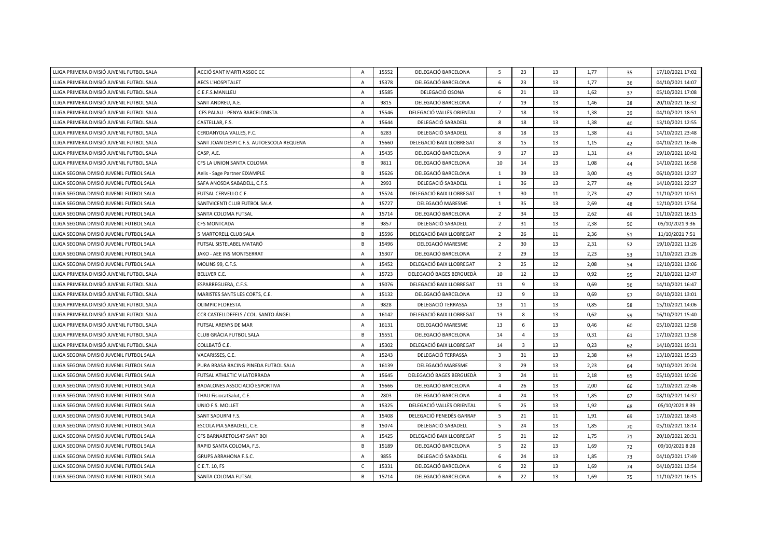| LLIGA PRIMERA DIVISIÓ JUVENIL FUTBOL SALA | ACCIÓ SANT MARTI ASSOC CC                 | A              | 15552 | DELEGACIÓ BARCELONA       | 5                       | 23                      | 13 | 1,77 | 35 | 17/10/2021 17:02 |
|-------------------------------------------|-------------------------------------------|----------------|-------|---------------------------|-------------------------|-------------------------|----|------|----|------------------|
| LLIGA PRIMERA DIVISIÓ JUVENIL FUTBOL SALA | <b>AECS L'HOSPITALET</b>                  | A              | 15378 | DELEGACIÓ BARCELONA       | 6                       | 23                      | 13 | 1,77 | 36 | 04/10/2021 14:07 |
| LLIGA PRIMERA DIVISIÓ JUVENIL FUTBOL SALA | C.E.F.S.MANLLEU                           | A              | 15585 | DELEGACIÓ OSONA           | 6                       | 21                      | 13 | 1,62 | 37 | 05/10/2021 17:08 |
| LLIGA PRIMERA DIVISIÓ JUVENIL FUTBOL SALA | SANT ANDREU, A.E.                         | A              | 9815  | DELEGACIÓ BARCELONA       | $\overline{7}$          | 19                      | 13 | 1,46 | 38 | 20/10/2021 16:32 |
| LLIGA PRIMERA DIVISIÓ JUVENIL FUTBOL SALA | CFS PALAU - PENYA BARCELONISTA            | A              | 15546 | DELEGACIÓ VALLÈS ORIENTAL | $\overline{7}$          | 18                      | 13 | 1,38 | 39 | 04/10/2021 18:51 |
| LLIGA PRIMERA DIVISIÓ JUVENIL FUTBOL SALA | CASTELLAR, F.S.                           | A              | 15644 | DELEGACIÓ SABADELL        | 8                       | 18                      | 13 | 1,38 | 40 | 13/10/2021 12:55 |
| LLIGA PRIMERA DIVISIÓ JUVENIL FUTBOL SALA | CERDANYOLA VALLES, F.C.                   | A              | 6283  | DELEGACIÓ SABADELL        | 8                       | 18                      | 13 | 1,38 | 41 | 14/10/2021 23:48 |
| LLIGA PRIMERA DIVISIÓ JUVENIL FUTBOL SALA | SANT JOAN DESPI C.F.S. AUTOESCOLA REQUENA | $\overline{A}$ | 15660 | DELEGACIÓ BAIX LLOBREGAT  | 8                       | 15                      | 13 | 1,15 | 42 | 04/10/2021 16:46 |
| LLIGA PRIMERA DIVISIÓ JUVENIL FUTBOL SALA | CASP, A.E.                                | $\overline{A}$ | 15435 | DELEGACIÓ BARCELONA       | $\overline{9}$          | 17                      | 13 | 1,31 | 43 | 19/10/2021 10:42 |
| LLIGA PRIMERA DIVISIÓ JUVENIL FUTBOL SALA | CFS LA UNION SANTA COLOMA                 | B              | 9811  | DELEGACIÓ BARCELONA       | 10                      | 14                      | 13 | 1,08 | 44 | 14/10/2021 16:58 |
| LLIGA SEGONA DIVISIÓ JUVENIL FUTBOL SALA  | Aelis - Sage Partner EIXAMPLE             | B              | 15626 | DELEGACIÓ BARCELONA       | 1                       | 39                      | 13 | 3,00 | 45 | 06/10/2021 12:27 |
| LLIGA SEGONA DIVISIÓ JUVENIL FUTBOL SALA  | SAFA ANOSDA SABADELL, C.F.S.              | A              | 2993  | DELEGACIÓ SABADELL        | 1                       | 36                      | 13 | 2,77 | 46 | 14/10/2021 22:27 |
| LLIGA SEGONA DIVISIÓ JUVENIL FUTBOL SALA  | FUTSAL CERVELLO C.E.                      | $\overline{A}$ | 15524 | DELEGACIÓ BAIX LLOBREGAT  | 1                       | 30                      | 11 | 2,73 | 47 | 11/10/2021 10:51 |
| LLIGA SEGONA DIVISIÓ JUVENIL FUTBOL SALA  | SANTVICENTI CLUB FUTBOL SALA              | A              | 15727 | DELEGACIÓ MARESME         | $\mathbf{1}$            | 35                      | 13 | 2,69 | 48 | 12/10/2021 17:54 |
| LLIGA SEGONA DIVISIÓ JUVENIL FUTBOL SALA  | SANTA COLOMA FUTSAL                       | A              | 15714 | DELEGACIÓ BARCELONA       | $\overline{2}$          | 34                      | 13 | 2,62 | 49 | 11/10/2021 16:15 |
| LLIGA SEGONA DIVISIÓ JUVENIL FUTBOL SALA  | <b>CFS MONTCADA</b>                       | B              | 9857  | DELEGACIÓ SABADELL        | $\overline{2}$          | 31                      | 13 | 2,38 | 50 | 05/10/2021 9:36  |
| LLIGA SEGONA DIVISIÓ JUVENIL FUTBOL SALA  | 5 MARTORELL CLUB SALA                     | B              | 15596 | DELEGACIÓ BAIX LLOBREGAT  | $\overline{2}$          | 26                      | 11 | 2,36 | 51 | 11/10/2021 7:51  |
| LLIGA SEGONA DIVISIÓ JUVENIL FUTBOL SALA  | FUTSAL SISTELABEL MATARÓ                  | B              | 15496 | DELEGACIÓ MARESME         | $\overline{2}$          | 30                      | 13 | 2,31 | 52 | 19/10/2021 11:26 |
| LLIGA SEGONA DIVISIÓ JUVENIL FUTBOL SALA  | JAKO - AEE INS MONTSERRAT                 | $\overline{A}$ | 15307 | DELEGACIÓ BARCELONA       | $\overline{2}$          | 29                      | 13 | 2,23 | 53 | 11/10/2021 21:26 |
| LLIGA SEGONA DIVISIÓ JUVENIL FUTBOL SALA  | MOLINS 99, C.F.S.                         | $\overline{A}$ | 15452 | DELEGACIÓ BAIX LLOBREGAT  | $\overline{2}$          | 25                      | 12 | 2,08 | 54 | 12/10/2021 13:06 |
| LLIGA PRIMERA DIVISIÓ JUVENIL FUTBOL SALA | BELLVER C.E.                              | A              | 15723 | DELEGACIÓ BAGES BERGUEDÀ  | 10                      | 12                      | 13 | 0,92 | 55 | 21/10/2021 12:47 |
| LLIGA PRIMERA DIVISIÓ JUVENIL FUTBOL SALA | ESPARREGUERA, C.F.S.                      | $\overline{A}$ | 15076 | DELEGACIÓ BAIX LLOBREGAT  | 11                      | 9                       | 13 | 0,69 | 56 | 14/10/2021 16:47 |
| LLIGA PRIMERA DIVISIÓ JUVENIL FUTBOL SALA | MARISTES SANTS LES CORTS, C.E.            | $\overline{A}$ | 15132 | DELEGACIÓ BARCELONA       | 12                      | $\overline{9}$          | 13 | 0,69 | 57 | 04/10/2021 13:01 |
| LLIGA PRIMERA DIVISIÓ JUVENIL FUTBOL SALA | <b>OLIMPIC FLORESTA</b>                   | $\overline{A}$ | 9828  | DELEGACIÓ TERRASSA        | 13                      | 11                      | 13 | 0,85 | 58 | 15/10/2021 14:06 |
| LLIGA PRIMERA DIVISIÓ JUVENIL FUTBOL SALA | CCR CASTELLDEFELS / COL. SANTO ÁNGEL      | $\overline{A}$ | 16142 | DELEGACIÓ BAIX LLOBREGAT  | 13                      | 8                       | 13 | 0,62 | 59 | 16/10/2021 15:40 |
| LLIGA PRIMERA DIVISIÓ JUVENIL FUTBOL SALA | FUTSAL ARENYS DE MAR                      | $\overline{A}$ | 16131 | DELEGACIÓ MARESME         | 13                      | 6                       | 13 | 0,46 | 60 | 05/10/2021 12:58 |
| LLIGA PRIMERA DIVISIÓ JUVENIL FUTBOL SALA | <b>CLUB GRÀCIA FUTBOL SALA</b>            | B              | 15551 | DELEGACIÓ BARCELONA       | 14                      | $\overline{4}$          | 13 | 0,31 | 61 | 17/10/2021 11:58 |
| LLIGA PRIMERA DIVISIÓ JUVENIL FUTBOL SALA | COLLBATÓ C.E.                             | $\overline{A}$ | 15302 | DELEGACIÓ BAIX LLOBREGAT  | 14                      | $\overline{\mathbf{3}}$ | 13 | 0,23 | 62 | 14/10/2021 19:31 |
| LLIGA SEGONA DIVISIÓ JUVENIL FUTBOL SALA  | VACARISSES, C.E.                          | $\overline{A}$ | 15243 | DELEGACIÓ TERRASSA        | $\overline{3}$          | 31                      | 13 | 2,38 | 63 | 13/10/2021 15:23 |
| LLIGA SEGONA DIVISIÓ JUVENIL FUTBOL SALA  | PURA BRASA RACING PINEDA FUTBOL SALA      | $\overline{A}$ | 16139 | DELEGACIÓ MARESME         | $\overline{\mathbf{3}}$ | 29                      | 13 | 2,23 | 64 | 10/10/2021 20:24 |
| LLIGA SEGONA DIVISIÓ JUVENIL FUTBOL SALA  | FUTSAL ATHLETIC VILATORRADA               | $\overline{A}$ | 15645 | DELEGACIÓ BAGES BERGUEDÀ  | $\overline{3}$          | 24                      | 11 | 2,18 | 65 | 05/10/2021 10:26 |
| LLIGA SEGONA DIVISIÓ JUVENIL FUTBOL SALA  | BADALONES ASSOCIACIÓ ESPORTIVA            | $\overline{A}$ | 15666 | DELEGACIÓ BARCELONA       | $\overline{4}$          | 26                      | 13 | 2,00 | 66 | 12/10/2021 22:46 |
| LLIGA SEGONA DIVISIÓ JUVENIL FUTBOL SALA  | THAU FisiocatSalut, C.E.                  | $\overline{A}$ | 2803  | DELEGACIÓ BARCELONA       | $\Delta$                | 24                      | 13 | 1,85 | 67 | 08/10/2021 14:37 |
| LLIGA SEGONA DIVISIÓ JUVENIL FUTBOL SALA  | UNIO F.S. MOLLET                          | $\overline{A}$ | 15325 | DELEGACIÓ VALLÈS ORIENTAL | - 5                     | 25                      | 13 | 1,92 | 68 | 05/10/2021 8:39  |
| LLIGA SEGONA DIVISIÓ JUVENIL FUTBOL SALA  | SANT SADURNI F.S.                         | $\overline{A}$ | 15408 | DELEGACIÓ PENEDÈS GARRAF  | 5                       | 21                      | 11 | 1,91 | 69 | 17/10/2021 18:43 |
| LLIGA SEGONA DIVISIÓ JUVENIL FUTBOL SALA  | ESCOLA PIA SABADELL, C.E.                 | B              | 15074 | DELEGACIÓ SABADELL        | 5                       | 24                      | 13 | 1,85 | 70 | 05/10/2021 18:14 |
| LLIGA SEGONA DIVISIÓ JUVENIL FUTBOL SALA  | CFS BARNARETOLS47 SANT BOI                | $\overline{A}$ | 15425 | DELEGACIÓ BAIX LLOBREGAT  | 5                       | 21                      | 12 | 1,75 | 71 | 20/10/2021 20:31 |
| LLIGA SEGONA DIVISIÓ JUVENIL FUTBOL SALA  | RAPID SANTA COLOMA, F.S.                  | <b>B</b>       | 15189 | DELEGACIÓ BARCELONA       | 5                       | 22                      | 13 | 1,69 | 72 | 09/10/2021 8:28  |
| LLIGA SEGONA DIVISIÓ JUVENIL FUTBOL SALA  | GRUPS ARRAHONA F.S.C.                     | $\overline{A}$ | 9855  | DELEGACIÓ SABADELL        | 6                       | 24                      | 13 | 1,85 | 73 | 04/10/2021 17:49 |
| LLIGA SEGONA DIVISIÓ JUVENIL FUTBOL SALA  | C.E.T. 10, FS                             | C              | 15331 | DELEGACIÓ BARCELONA       | 6                       | 22                      | 13 | 1,69 | 74 | 04/10/2021 13:54 |
| LLIGA SEGONA DIVISIÓ JUVENIL FUTBOL SALA  | SANTA COLOMA FUTSAL                       | R              | 15714 | DELEGACIÓ BARCELONA       | 6                       | 22                      | 13 | 1.69 | 75 | 11/10/2021 16:15 |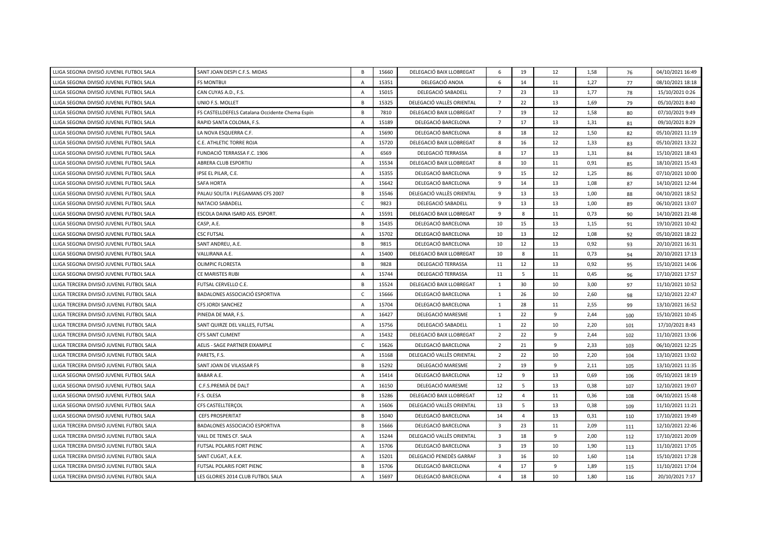| LLIGA SEGONA DIVISIÓ JUVENIL FUTBOL SALA  | SANT JOAN DESPI C.F.S. MIDAS                    | $\overline{B}$ | 15660 | DELEGACIÓ BAIX LLOBREGAT  | 6                       | 19             | 12 | 1,58 | 76  | 04/10/2021 16:49 |
|-------------------------------------------|-------------------------------------------------|----------------|-------|---------------------------|-------------------------|----------------|----|------|-----|------------------|
| LLIGA SEGONA DIVISIÓ JUVENIL FUTBOL SALA  | <b>FS MONTBUI</b>                               | $\overline{A}$ | 15351 | DELEGACIÓ ANOIA           | 6                       | 14             | 11 | 1,27 | 77  | 08/10/2021 18:18 |
| LLIGA SEGONA DIVISIÓ JUVENIL FUTBOL SALA  | CAN CUYAS A.D., F.S.                            | $\overline{A}$ | 15015 | DELEGACIÓ SABADELL        | $\overline{7}$          | 23             | 13 | 1,77 | 78  | 15/10/2021 0:26  |
| LLIGA SEGONA DIVISIÓ JUVENIL FUTBOL SALA  | UNIO F.S. MOLLET                                | $\overline{B}$ | 15325 | DELEGACIÓ VALLÈS ORIENTAL | $\overline{7}$          | 22             | 13 | 1,69 | 79  | 05/10/2021 8:40  |
| LLIGA SEGONA DIVISIÓ JUVENIL FUTBOL SALA  | FS CASTELLDEFELS Catalana Occidente Chema Espín | B              | 7810  | DELEGACIÓ BAIX LLOBREGAT  | $\overline{7}$          | 19             | 12 | 1,58 | 80  | 07/10/2021 9:49  |
| LLIGA SEGONA DIVISIÓ JUVENIL FUTBOL SALA  | RAPID SANTA COLOMA, F.S.                        | $\overline{A}$ | 15189 | DELEGACIÓ BARCELONA       | $\overline{7}$          | 17             | 13 | 1,31 | 81  | 09/10/2021 8:29  |
| LLIGA SEGONA DIVISIÓ JUVENIL FUTBOL SALA  | LA NOVA ESQUERRA C.F.                           | $\overline{A}$ | 15690 | DELEGACIÓ BARCELONA       | 8                       | 18             | 12 | 1,50 | 82  | 05/10/2021 11:19 |
| LLIGA SEGONA DIVISIÓ JUVENIL FUTBOL SALA  | C.E. ATHLETIC TORRE ROJA                        | $\overline{A}$ | 15720 | DELEGACIÓ BAIX LLOBREGAT  | 8                       | 16             | 12 | 1,33 | 83  | 05/10/2021 13:22 |
| LLIGA SEGONA DIVISIÓ JUVENIL FUTBOL SALA  | FUNDACIÓ TERRASSA F.C. 1906                     | $\overline{A}$ | 6569  | DELEGACIÓ TERRASSA        | 8                       | 17             | 13 | 1,31 | 84  | 15/10/2021 18:43 |
| LLIGA SEGONA DIVISIÓ JUVENIL FUTBOL SALA  | ABRERA CLUB ESPORTIU                            | $\overline{A}$ | 15534 | DELEGACIÓ BAIX LLOBREGAT  | 8                       | 10             | 11 | 0,91 | 85  | 18/10/2021 15:43 |
| LLIGA SEGONA DIVISIÓ JUVENIL FUTBOL SALA  | IPSE EL PILAR, C.E.                             | $\overline{A}$ | 15355 | DELEGACIÓ BARCELONA       | 9                       | 15             | 12 | 1,25 | 86  | 07/10/2021 10:00 |
| LLIGA SEGONA DIVISIÓ JUVENIL FUTBOL SALA  | <b>SAFA HORTA</b>                               | $\overline{A}$ | 15642 | DELEGACIÓ BARCELONA       | 9                       | 14             | 13 | 1,08 | 87  | 14/10/2021 12:44 |
| LLIGA SEGONA DIVISIÓ JUVENIL FUTBOL SALA  | PALAU SOLITA I PLEGAMANS CFS 2007               | B              | 15546 | DELEGACIÓ VALLÈS ORIENTAL | 9                       | 13             | 13 | 1,00 | 88  | 04/10/2021 18:52 |
| LLIGA SEGONA DIVISIÓ JUVENIL FUTBOL SALA  | NATACIO SABADELL                                | $\mathsf{C}$   | 9823  | DELEGACIÓ SABADELL        | 9                       | 13             | 13 | 1,00 | 89  | 06/10/2021 13:07 |
| LLIGA SEGONA DIVISIÓ JUVENIL FUTBOL SALA  | ESCOLA DAINA ISARD ASS. ESPORT.                 | A              | 15591 | DELEGACIÓ BAIX LLOBREGAT  | 9                       | 8              | 11 | 0,73 | 90  | 14/10/2021 21:48 |
| LLIGA SEGONA DIVISIÓ JUVENIL FUTBOL SALA  | CASP, A.E.                                      | B              | 15435 | DELEGACIÓ BARCELONA       | 10                      | 15             | 13 | 1,15 | 91  | 19/10/2021 10:42 |
| LLIGA SEGONA DIVISIÓ JUVENIL FUTBOL SALA  | <b>CSC FUTSAL</b>                               | A              | 15702 | DELEGACIÓ BARCELONA       | 10                      | 13             | 12 | 1,08 | 92  | 05/10/2021 18:22 |
| LLIGA SEGONA DIVISIÓ JUVENIL FUTBOL SALA  | SANT ANDREU, A.E.                               | B              | 9815  | DELEGACIÓ BARCELONA       | 10                      | 12             | 13 | 0,92 | 93  | 20/10/2021 16:31 |
| LLIGA SEGONA DIVISIÓ JUVENIL FUTBOL SALA  | VALLIRANA A.E.                                  | A              | 15400 | DELEGACIÓ BAIX LLOBREGAT  | 10                      | 8              | 11 | 0,73 | 94  | 20/10/2021 17:13 |
| LLIGA SEGONA DIVISIÓ JUVENIL FUTBOL SALA  | OLIMPIC FLORESTA                                | B              | 9828  | DELEGACIÓ TERRASSA        | 11                      | 12             | 13 | 0,92 | 95  | 15/10/2021 14:06 |
| LLIGA SEGONA DIVISIÓ JUVENIL FUTBOL SALA  | CE MARISTES RUBI                                | A              | 15744 | DELEGACIÓ TERRASSA        | 11                      | 5              | 11 | 0,45 | 96  | 17/10/2021 17:57 |
| LLIGA TERCERA DIVISIÓ JUVENIL FUTBOL SALA | FUTSAL CERVELLO C.E.                            | <b>B</b>       | 15524 | DELEGACIÓ BAIX LLOBREGAT  | 1                       | 30             | 10 | 3.00 | 97  | 11/10/2021 10:52 |
| LLIGA TERCERA DIVISIÓ JUVENIL FUTBOL SALA | BADALONES ASSOCIACIÓ ESPORTIVA                  | $\mathsf{C}$   | 15666 | DELEGACIÓ BARCELONA       | $\mathbf{1}$            | 26             | 10 | 2,60 | 98  | 12/10/2021 22:47 |
| LLIGA TERCERA DIVISIÓ JUVENIL FUTBOL SALA | CFS JORDI SANCHEZ                               | $\overline{A}$ | 15704 | DELEGACIÓ BARCELONA       | 1                       | 28             | 11 | 2,55 | 99  | 13/10/2021 16:52 |
| LLIGA TERCERA DIVISIÓ JUVENIL FUTBOL SALA | PINEDA DE MAR, F.S.                             | $\overline{A}$ | 16427 | DELEGACIÓ MARESME         | $\overline{1}$          | 22             | 9  | 2,44 | 100 | 15/10/2021 10:45 |
| LLIGA TERCERA DIVISIÓ JUVENIL FUTBOL SALA | SANT QUIRZE DEL VALLES, FUTSAL                  | $\overline{A}$ | 15756 | DELEGACIÓ SABADELL        | 1                       | 22             | 10 | 2,20 | 101 | 17/10/2021 8:43  |
| LLIGA TERCERA DIVISIÓ JUVENIL FUTBOL SALA | <b>CFS SANT CLIMENT</b>                         | $\overline{A}$ | 15432 | DELEGACIÓ BAIX LLOBREGAT  | $\overline{2}$          | 22             | 9  | 2,44 | 102 | 11/10/2021 13:06 |
| LLIGA TERCERA DIVISIÓ JUVENIL FUTBOL SALA | AELIS - SAGE PARTNER EIXAMPLE                   | C              | 15626 | DELEGACIÓ BARCELONA       | $\overline{2}$          | 21             | 9  | 2,33 | 103 | 06/10/2021 12:25 |
| LLIGA TERCERA DIVISIÓ JUVENIL FUTBOL SALA | PARETS, F.S.                                    | $\overline{A}$ | 15168 | DELEGACIÓ VALLÈS ORIENTAL | $\overline{2}$          | 22             | 10 | 2,20 | 104 | 13/10/2021 13:02 |
| LLIGA TERCERA DIVISIÓ JUVENIL FUTBOL SALA | SANT JOAN DE VILASSAR FS                        | <b>B</b>       | 15292 | DELEGACIÓ MARESME         | $\overline{2}$          | 19             | 9  | 2,11 | 105 | 13/10/2021 11:35 |
| LLIGA SEGONA DIVISIÓ JUVENIL FUTBOL SALA  | BABAR A.E.                                      | $\overline{A}$ | 15414 | DELEGACIÓ BARCELONA       | 12                      | 9              | 13 | 0,69 | 106 | 05/10/2021 18:19 |
| LLIGA SEGONA DIVISIÓ JUVENIL FUTBOL SALA  | C.F.S.PREMIÀ DE DALT                            | $\overline{A}$ | 16150 | DELEGACIÓ MARESME         | 12                      | 5              | 13 | 0,38 | 107 | 12/10/2021 19:07 |
| LLIGA SEGONA DIVISIÓ JUVENIL FUTBOL SALA  | F.S. OLESA                                      | B              | 15286 | DELEGACIÓ BAIX LLOBREGAT  | 12                      | $\overline{4}$ | 11 | 0,36 | 108 | 04/10/2021 15:48 |
| LLIGA SEGONA DIVISIÓ JUVENIL FUTBOL SALA  | CFS CASTELLTERÇOL                               | $\overline{A}$ | 15606 | DELEGACIÓ VALLÈS ORIENTAL | 13                      | 5              | 13 | 0,38 | 109 | 11/10/2021 11:21 |
| LLIGA SEGONA DIVISIÓ JUVENIL FUTBOL SALA  | <b>CEFS PROSPERITAT</b>                         | B              | 15040 | DELEGACIÓ BARCELONA       | 14                      | $\overline{4}$ | 13 | 0,31 | 110 | 17/10/2021 19:49 |
| LLIGA TERCERA DIVISIÓ JUVENIL FUTBOL SALA | BADALONES ASSOCIACIÓ ESPORTIVA                  | B              | 15666 | DELEGACIÓ BARCELONA       | $\overline{\mathbf{3}}$ | 23             | 11 | 2,09 | 111 | 12/10/2021 22:46 |
| LLIGA TERCERA DIVISIÓ JUVENIL FUTBOL SALA | VALL DE TENES CF. SALA                          | $\overline{A}$ | 15244 | DELEGACIÓ VALLÈS ORIENTAL | $\overline{\mathbf{3}}$ | 18             | 9  | 2,00 | 112 | 17/10/2021 20:09 |
| LLIGA TERCERA DIVISIÓ JUVENIL FUTBOL SALA | FUTSAL POLARIS FORT PIENC                       | A              | 15706 | DELEGACIÓ BARCELONA       | $\overline{3}$          | 19             | 10 | 1,90 | 113 | 11/10/2021 17:05 |
| LLIGA TERCERA DIVISIÓ JUVENIL FUTBOL SALA | SANT CUGAT, A.E.K.                              | A              | 15201 | DELEGACIÓ PENEDÈS GARRAF  | $\overline{\mathbf{3}}$ | 16             | 10 | 1,60 | 114 | 15/10/2021 17:28 |
| LLIGA TERCERA DIVISIÓ JUVENIL FUTBOL SALA | FUTSAL POLARIS FORT PIENC                       | B              | 15706 | DELEGACIÓ BARCELONA       | $\overline{4}$          | 17             | 9  | 1,89 | 115 | 11/10/2021 17:04 |
| LLIGA TERCERA DIVISIÓ JUVENIL FUTBOL SALA | LES GLORIES 2014 CLUB FUTBOL SALA               | A              | 15697 | DELEGACIÓ BARCELONA       | $\overline{4}$          | 18             | 10 | 1,80 | 116 | 20/10/2021 7:17  |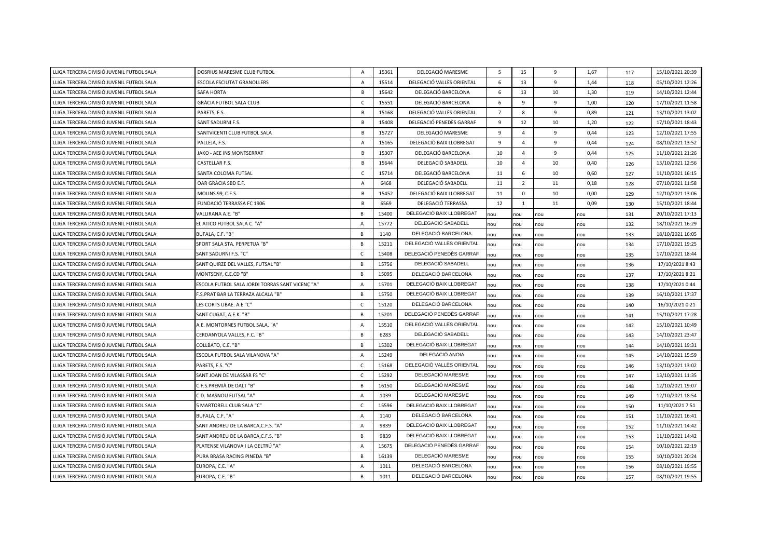| LLIGA TERCERA DIVISIÓ JUVENIL FUTBOL SALA | DOSRIUS MARESME CLUB FUTBOL                     | A              | 15361 | DELEGACIÓ MARESME         | 5              | 15             | 9   | 1,67 | 117 | 15/10/2021 20:39 |
|-------------------------------------------|-------------------------------------------------|----------------|-------|---------------------------|----------------|----------------|-----|------|-----|------------------|
| LLIGA TERCERA DIVISIÓ JUVENIL FUTBOL SALA | ESCOLA FSCIUTAT GRANOLLERS                      | $\overline{A}$ | 15514 | DELEGACIÓ VALLÈS ORIENTAL | 6              | 13             | 9   | 1,44 | 118 | 05/10/2021 12:26 |
| LLIGA TERCERA DIVISIÓ JUVENIL FUTBOL SALA | <b>SAFA HORTA</b>                               | B              | 15642 | DELEGACIÓ BARCELONA       | 6              | 13             | 10  | 1,30 | 119 | 14/10/2021 12:44 |
| LLIGA TERCERA DIVISIÓ JUVENIL FUTBOL SALA | GRÀCIA FUTBOL SALA CLUB                         | C              | 15551 | DELEGACIÓ BARCELONA       | 6              | 9              | 9   | 1,00 | 120 | 17/10/2021 11:58 |
| LLIGA TERCERA DIVISIÓ JUVENIL FUTBOL SALA | PARETS, F.S.                                    | B              | 15168 | DELEGACIÓ VALLÈS ORIENTAL | $\overline{7}$ | 8              | 9   | 0,89 | 121 | 13/10/2021 13:02 |
| LLIGA TERCERA DIVISIÓ JUVENIL FUTBOL SALA | SANT SADURNI F.S.                               | B              | 15408 | DELEGACIÓ PENEDÈS GARRAF  | 9              | 12             | 10  | 1,20 | 122 | 17/10/2021 18:43 |
| LLIGA TERCERA DIVISIÓ JUVENIL FUTBOL SALA | SANTVICENTI CLUB FUTBOL SALA                    | B              | 15727 | DELEGACIÓ MARESME         | 9              | $\overline{4}$ | 9   | 0,44 | 123 | 12/10/2021 17:55 |
| LLIGA TERCERA DIVISIÓ JUVENIL FUTBOL SALA | PALLEJA, F.S.                                   | A              | 15165 | DELEGACIÓ BAIX LLOBREGAT  | 9              | $\overline{4}$ | 9   | 0,44 | 124 | 08/10/2021 13:52 |
| LLIGA TERCERA DIVISIÓ JUVENIL FUTBOL SALA | JAKO - AEE INS MONTSERRAT                       | B              | 15307 | DELEGACIÓ BARCELONA       | 10             | $\overline{4}$ | 9   | 0,44 | 125 | 11/10/2021 21:26 |
| LLIGA TERCERA DIVISIÓ JUVENIL FUTBOL SALA | CASTELLAR F.S.                                  | B              | 15644 | DELEGACIÓ SABADELL        | 10             | $\overline{4}$ | 10  | 0,40 | 126 | 13/10/2021 12:56 |
| LLIGA TERCERA DIVISIÓ JUVENIL FUTBOL SALA | SANTA COLOMA FUTSAL                             | $\mathsf{C}$   | 15714 | DELEGACIÓ BARCELONA       | 11             | 6              | 10  | 0,60 | 127 | 11/10/2021 16:15 |
| LLIGA TERCERA DIVISIÓ JUVENIL FUTBOL SALA | OAR GRÀCIA SBD E.F.                             | A              | 6468  | DELEGACIÓ SABADELL        | 11             | $\overline{2}$ | 11  | 0,18 | 128 | 07/10/2021 11:58 |
| LLIGA TERCERA DIVISIÓ JUVENIL FUTBOL SALA | MOLINS 99, C.F.S.                               | B              | 15452 | DELEGACIÓ BAIX LLOBREGAT  | 11             | $\mathbf 0$    | 10  | 0,00 | 129 | 12/10/2021 13:06 |
| LLIGA TERCERA DIVISIÓ JUVENIL FUTBOL SALA | FUNDACIÓ TERRASSA FC 1906                       | B              | 6569  | DELEGACIÓ TERRASSA        | 12             | $\mathbf{1}$   | 11  | 0,09 | 130 | 15/10/2021 18:44 |
| LLIGA TERCERA DIVISIÓ JUVENIL FUTBOL SALA | VALLIRANA A.E. "B"                              | B              | 15400 | DELEGACIÓ BAIX LLOBREGAT  | nou            | nou            | nou | nou  | 131 | 20/10/2021 17:13 |
| LLIGA TERCERA DIVISIÓ JUVENIL FUTBOL SALA | EL ATICO FUTBOL SALA C. "A"                     | $\overline{A}$ | 15772 | DELEGACIÓ SABADELL        | nou            | nou            | nou | nou  | 132 | 18/10/2021 16:29 |
| LLIGA TERCERA DIVISIÓ JUVENIL FUTBOL SALA | BUFALA, C.F. "B"                                | B              | 1140  | DELEGACIÓ BARCELONA       | nou            | nou            | nou | nou  | 133 | 18/10/2021 16:05 |
| LLIGA TERCERA DIVISIÓ JUVENIL FUTBOL SALA | SPORT SALA STA. PERPETUA "B"                    | $\overline{B}$ | 15211 | DELEGACIÓ VALLÈS ORIENTAL | nou            | nou            | nou | nou  | 134 | 17/10/2021 19:25 |
| LLIGA TERCERA DIVISIÓ JUVENIL FUTBOL SALA | SANT SADURNI F.S. "C"                           | C              | 15408 | DELEGACIÓ PENEDÈS GARRAF  | nou            | nou            | nou | nou  | 135 | 17/10/2021 18:44 |
| LLIGA TERCERA DIVISIÓ JUVENIL FUTBOL SALA | SANT QUIRZE DEL VALLES, FUTSAL "B"              | $\overline{B}$ | 15756 | DELEGACIÓ SABADELL        | nou            | nou            | nou | nou  | 136 | 17/10/2021 8:43  |
| LLIGA TERCERA DIVISIÓ JUVENIL FUTBOL SALA | MONTSENY, C.E.CD "B"                            | $\overline{B}$ | 15095 | DELEGACIÓ BARCELONA       | nou            | nou            | nou | nou  | 137 | 17/10/2021 8:21  |
| LLIGA TERCERA DIVISIÓ JUVENIL FUTBOL SALA | ESCOLA FUTBOL SALA JORDI TORRAS SANT VICENÇ "A" | $\overline{A}$ | 15701 | DELEGACIÓ BAIX LLOBREGAT  | nou            | nou            | nou | nou  | 138 | 17/10/2021 0:44  |
| LLIGA TERCERA DIVISIÓ JUVENIL FUTBOL SALA | F.S.PRAT BAR LA TERRAZA ALCALA "B"              | $\overline{B}$ | 15750 | DELEGACIÓ BAIX LLOBREGAT  | nou            | nou            | nou | nou  | 139 | 16/10/2021 17:37 |
| LLIGA TERCERA DIVISIÓ JUVENIL FUTBOL SALA | LES CORTS UBAE. A.E "C"                         | $\mathsf{C}$   | 15120 | DELEGACIÓ BARCELONA       | nou            | nou            | nou | nou  | 140 | 16/10/2021 0:21  |
| LLIGA TERCERA DIVISIÓ JUVENIL FUTBOL SALA | SANT CUGAT, A.E.K. "B"                          | B              | 15201 | DELEGACIÓ PENEDÈS GARRAF  | nou            | nou            | nou | nou  | 141 | 15/10/2021 17:28 |
| LLIGA TERCERA DIVISIÓ JUVENIL FUTBOL SALA | A.E. MONTORNES FUTBOL SALA. "A"                 | $\overline{A}$ | 15510 | DELEGACIÓ VALLÈS ORIENTAL | nou            | nou            | nou | nou  | 142 | 15/10/2021 10:49 |
| LLIGA TERCERA DIVISIÓ JUVENIL FUTBOL SALA | CERDANYOLA VALLES, F.C. "B'                     | <b>B</b>       | 6283  | DELEGACIÓ SABADELL        | nou            | nou            | nou | nou  | 143 | 14/10/2021 23:47 |
| LLIGA TERCERA DIVISIÓ JUVENIL FUTBOL SALA | COLLBATO, C.E. "B"                              | $\overline{B}$ | 15302 | DELEGACIÓ BAIX LLOBREGAT  | nou            | nou            | nou | nou  | 144 | 14/10/2021 19:31 |
| LLIGA TERCERA DIVISIÓ JUVENIL FUTBOL SALA | ESCOLA FUTBOL SALA VILANOVA "A"                 | $\overline{A}$ | 15249 | DELEGACIÓ ANOIA           | nou            | nou            | nou | nou  | 145 | 14/10/2021 15:59 |
| LLIGA TERCERA DIVISIÓ JUVENIL FUTBOL SALA | PARETS, F.S. "C"                                | $\mathsf{C}$   | 15168 | DELEGACIÓ VALLÈS ORIENTAL | nou            | nou            | nou | nou  | 146 | 13/10/2021 13:02 |
| LLIGA TERCERA DIVISIÓ JUVENIL FUTBOL SALA | SANT JOAN DE VILASSAR FS "C"                    | $\mathsf{C}$   | 15292 | DELEGACIÓ MARESME         | nou            | nou            | nou | nou  | 147 | 13/10/2021 11:35 |
| LLIGA TERCERA DIVISIÓ JUVENIL FUTBOL SALA | C.F.S.PREMIÀ DE DALT "B"                        | $\overline{B}$ | 16150 | DELEGACIÓ MARESME         | nou            | nou            | nou | nou  | 148 | 12/10/2021 19:07 |
| LLIGA TERCERA DIVISIÓ JUVENIL FUTBOL SALA | C.D. MASNOU FUTSAL "A"                          | $\overline{A}$ | 1039  | DELEGACIÓ MARESME         | nou            | nou            | nou | nou  | 149 | 12/10/2021 18:54 |
| LLIGA TERCERA DIVISIÓ JUVENIL FUTBOL SALA | 5 MARTORELL CLUB SALA "C"                       | C              | 15596 | DELEGACIÓ BAIX LLOBREGAT  | nou            | nou            | nou | nou  | 150 | 11/10/2021 7:51  |
| LLIGA TERCERA DIVISIÓ JUVENIL FUTBOL SALA | BUFALA, C.F. "A"                                | $\overline{A}$ | 1140  | DELEGACIÓ BARCELONA       | nou            | nou            | nou | nou  | 151 | 11/10/2021 16:41 |
| LLIGA TERCERA DIVISIÓ JUVENIL FUTBOL SALA | SANT ANDREU DE LA BARCA, C.F.S. "A"             | $\overline{A}$ | 9839  | DELEGACIÓ BAIX LLOBREGAT  | nou            | nou            | nou | nou  | 152 | 11/10/2021 14:42 |
| LLIGA TERCERA DIVISIÓ JUVENIL FUTBOL SALA | SANT ANDREU DE LA BARCA.C.F.S. "B"              | B              | 9839  | DELEGACIÓ BAIX LLOBREGAT  | nou            | nou            | nou | nou  | 153 | 11/10/2021 14:42 |
| LLIGA TERCERA DIVISIÓ JUVENIL FUTBOL SALA | PLATENSE VILANOVA I LA GELTRÚ "A"               | $\overline{A}$ | 15675 | DELEGACIÓ PENEDÈS GARRAF  | nou            | nou            | nou | nou  | 154 | 10/10/2021 22:19 |
| LLIGA TERCERA DIVISIÓ JUVENIL FUTBOL SALA | PURA BRASA RACING PINEDA "B"                    | B              | 16139 | DELEGACIÓ MARESME         | nou            | nou            | nou | nou  | 155 | 10/10/2021 20:24 |
| LLIGA TERCERA DIVISIÓ JUVENIL FUTBOL SALA | EUROPA, C.E. "A"                                | $\overline{A}$ | 1011  | DELEGACIÓ BARCELONA       | nou            | nou            | nou | nou  | 156 | 08/10/2021 19:55 |
| LLIGA TERCERA DIVISIÓ JUVENIL FUTBOL SALA | EUROPA, C.E. "B"                                | <b>B</b>       | 1011  | DELEGACIÓ BARCELONA       | nou            | nou            | nou | nou  | 157 | 08/10/2021 19:55 |